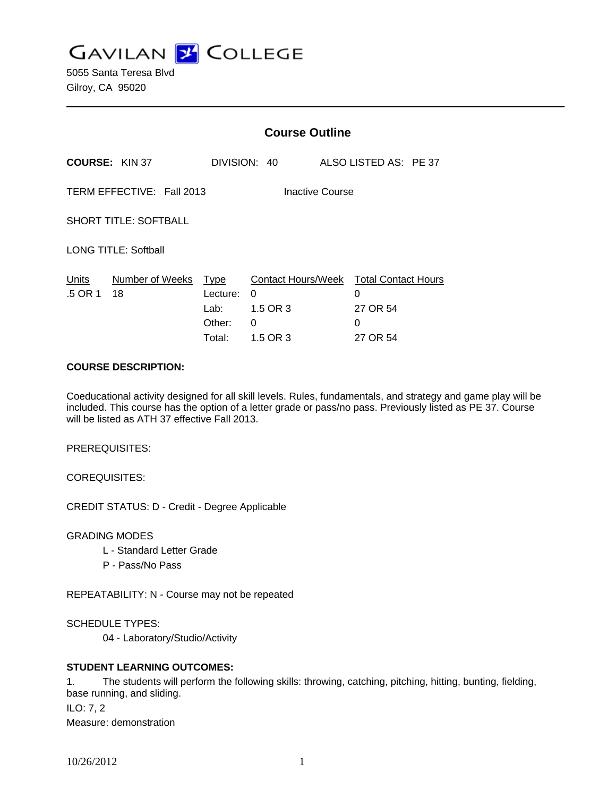**GAVILAN J COLLEGE** 

5055 Santa Teresa Blvd Gilroy, CA 95020

|                                              |                       | <b>Course Outline</b>                               |                                                      |                                                              |
|----------------------------------------------|-----------------------|-----------------------------------------------------|------------------------------------------------------|--------------------------------------------------------------|
|                                              | <b>COURSE: KIN 37</b> |                                                     | DIVISION: 40                                         | ALSO LISTED AS: PE 37                                        |
| TERM EFFECTIVE: Fall 2013<br>Inactive Course |                       |                                                     |                                                      |                                                              |
| <b>SHORT TITLE: SOFTBALL</b>                 |                       |                                                     |                                                      |                                                              |
| <b>LONG TITLE: Softball</b>                  |                       |                                                     |                                                      |                                                              |
| Units<br>.5 OR 1                             | Number of Weeks<br>18 | <b>Type</b><br>Lecture:<br>Lab:<br>Other:<br>Total: | Contact Hours/Week<br>0<br>1.5 OR 3<br>0<br>1.5 OR 3 | <b>Total Contact Hours</b><br>0<br>27 OR 54<br>0<br>27 OR 54 |

#### **COURSE DESCRIPTION:**

Coeducational activity designed for all skill levels. Rules, fundamentals, and strategy and game play will be included. This course has the option of a letter grade or pass/no pass. Previously listed as PE 37. Course will be listed as ATH 37 effective Fall 2013.

PREREQUISITES:

COREQUISITES:

CREDIT STATUS: D - Credit - Degree Applicable

GRADING MODES

- L Standard Letter Grade
- P Pass/No Pass

REPEATABILITY: N - Course may not be repeated

SCHEDULE TYPES:

04 - Laboratory/Studio/Activity

## **STUDENT LEARNING OUTCOMES:**

1. The students will perform the following skills: throwing, catching, pitching, hitting, bunting, fielding, base running, and sliding. ILO: 7, 2 Measure: demonstration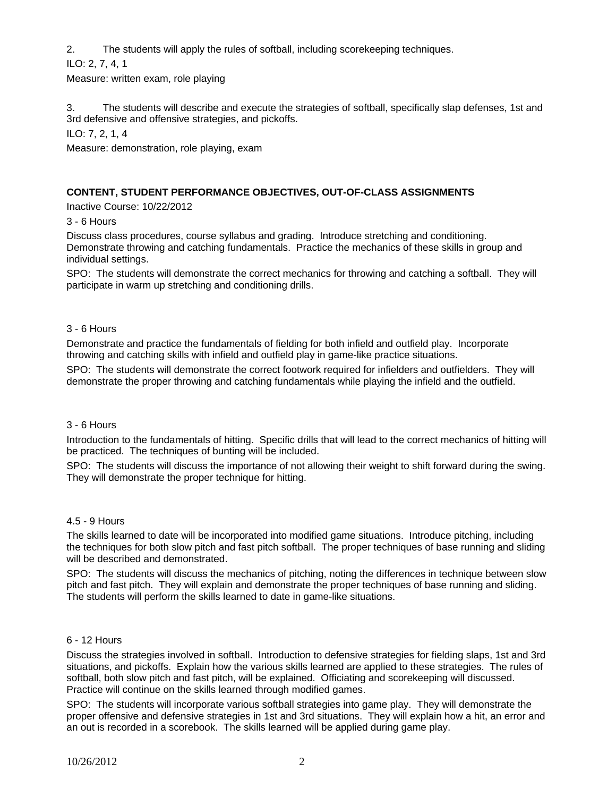2. The students will apply the rules of softball, including scorekeeping techniques.

ILO: 2, 7, 4, 1

Measure: written exam, role playing

3. The students will describe and execute the strategies of softball, specifically slap defenses, 1st and 3rd defensive and offensive strategies, and pickoffs.

ILO: 7, 2, 1, 4

Measure: demonstration, role playing, exam

# **CONTENT, STUDENT PERFORMANCE OBJECTIVES, OUT-OF-CLASS ASSIGNMENTS**

Inactive Course: 10/22/2012

3 - 6 Hours

Discuss class procedures, course syllabus and grading. Introduce stretching and conditioning. Demonstrate throwing and catching fundamentals. Practice the mechanics of these skills in group and individual settings.

SPO: The students will demonstrate the correct mechanics for throwing and catching a softball. They will participate in warm up stretching and conditioning drills.

## 3 - 6 Hours

Demonstrate and practice the fundamentals of fielding for both infield and outfield play. Incorporate throwing and catching skills with infield and outfield play in game-like practice situations.

SPO: The students will demonstrate the correct footwork required for infielders and outfielders. They will demonstrate the proper throwing and catching fundamentals while playing the infield and the outfield.

#### 3 - 6 Hours

Introduction to the fundamentals of hitting. Specific drills that will lead to the correct mechanics of hitting will be practiced. The techniques of bunting will be included.

SPO: The students will discuss the importance of not allowing their weight to shift forward during the swing. They will demonstrate the proper technique for hitting.

#### 4.5 - 9 Hours

The skills learned to date will be incorporated into modified game situations. Introduce pitching, including the techniques for both slow pitch and fast pitch softball. The proper techniques of base running and sliding will be described and demonstrated.

SPO: The students will discuss the mechanics of pitching, noting the differences in technique between slow pitch and fast pitch. They will explain and demonstrate the proper techniques of base running and sliding. The students will perform the skills learned to date in game-like situations.

#### 6 - 12 Hours

Discuss the strategies involved in softball. Introduction to defensive strategies for fielding slaps, 1st and 3rd situations, and pickoffs. Explain how the various skills learned are applied to these strategies. The rules of softball, both slow pitch and fast pitch, will be explained. Officiating and scorekeeping will discussed. Practice will continue on the skills learned through modified games.

SPO: The students will incorporate various softball strategies into game play. They will demonstrate the proper offensive and defensive strategies in 1st and 3rd situations. They will explain how a hit, an error and an out is recorded in a scorebook. The skills learned will be applied during game play.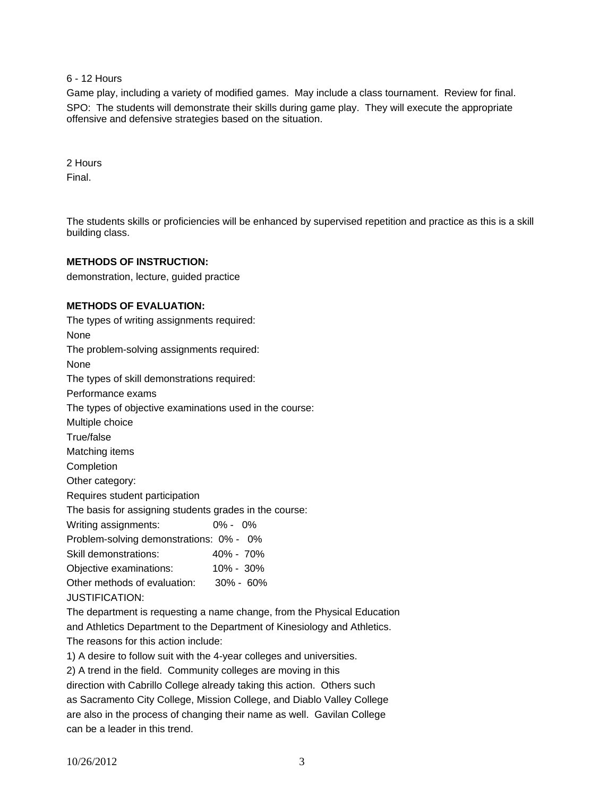6 - 12 Hours

Game play, including a variety of modified games. May include a class tournament. Review for final. SPO: The students will demonstrate their skills during game play. They will execute the appropriate offensive and defensive strategies based on the situation.

2 Hours Final.

The students skills or proficiencies will be enhanced by supervised repetition and practice as this is a skill building class.

### **METHODS OF INSTRUCTION:**

demonstration, lecture, guided practice

### **METHODS OF EVALUATION:**

The types of writing assignments required: None The problem-solving assignments required: None The types of skill demonstrations required: Performance exams The types of objective examinations used in the course: Multiple choice True/false Matching items Completion Other category: Requires student participation The basis for assigning students grades in the course: Writing assignments: 0% - 0% Problem-solving demonstrations: 0% - 0% Skill demonstrations: 40% - 70% Objective examinations: 10% - 30% Other methods of evaluation: 30% - 60% JUSTIFICATION: The department is requesting a name change, from the Physical Education and Athletics Department to the Department of Kinesiology and Athletics.

The reasons for this action include:

1) A desire to follow suit with the 4-year colleges and universities.

2) A trend in the field. Community colleges are moving in this

direction with Cabrillo College already taking this action. Others such as Sacramento City College, Mission College, and Diablo Valley College are also in the process of changing their name as well. Gavilan College can be a leader in this trend.